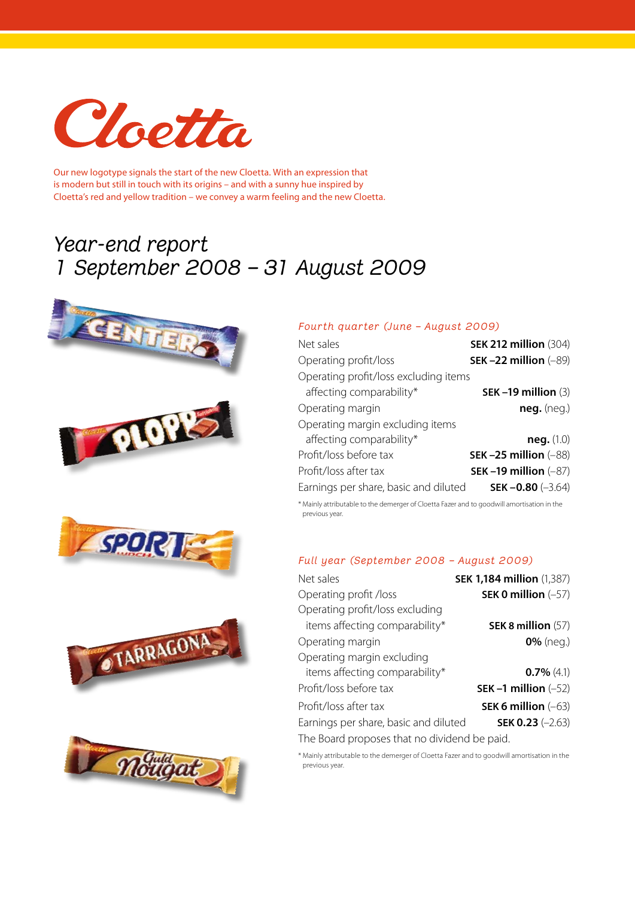

Our new logotype signals the start of the new Cloetta. With an expression that is modern but still in touch with its origins – and with a sunny hue inspired by Cloetta's red and yellow tradition – we convey a warm feeling and the new Cloetta.

## *Year-end report 1 September 2008 – 31 August 2009*











## *Fourth quarter (June – August 2009)*

| Net sales                             | <b>SEK 212 million (304)</b> |
|---------------------------------------|------------------------------|
| Operating profit/loss                 | SEK-22 million $(-89)$       |
| Operating profit/loss excluding items |                              |
| affecting comparability*              | SEK-19 million $(3)$         |
| Operating margin                      | $neg.$ (neg.)                |
| Operating margin excluding items      |                              |
| affecting comparability*              | neg. (1.0)                   |
| Profit/loss before tax                | SEK-25 million $(-88)$       |
| Profit/loss after tax                 | SEK-19 million $(-87)$       |
| Earnings per share, basic and diluted | SEK-0.80 $(-3.64)$           |

\* Mainly attributable to the demerger of Cloetta Fazer and to goodwill amortisation in the previous year.

## *Full year (September 2008 – August 2009)*

| Net sales                                    | <b>SEK 1,184 million (1,387)</b> |
|----------------------------------------------|----------------------------------|
| Operating profit /loss                       | SEK 0 million $(-57)$            |
| Operating profit/loss excluding              |                                  |
| items affecting comparability*               | SEK 8 million $(57)$             |
| Operating margin                             | $0\%$ (neg.)                     |
| Operating margin excluding                   |                                  |
| items affecting comparability*               | $0.7\%$ (4.1)                    |
| Profit/loss before tax                       | SEK-1 million $(-52)$            |
| Profit/loss after tax                        | SEK 6 million $(-63)$            |
| Earnings per share, basic and diluted        | <b>SEK 0.23</b> $(-2.63)$        |
| The Board proposes that no dividend be paid. |                                  |

\* Mainly attributable to the demerger of Cloetta Fazer and to goodwill amortisation in the previous year.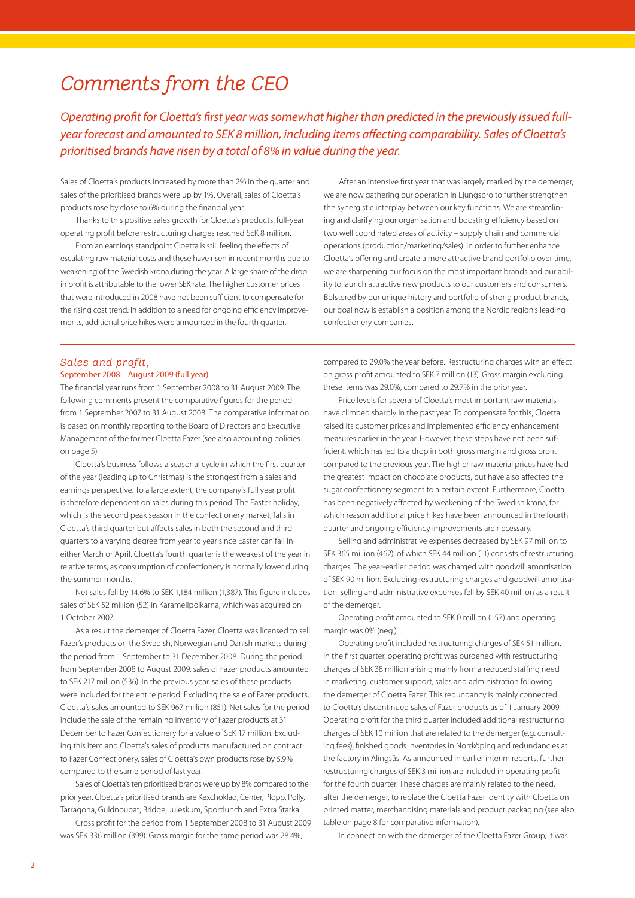## *Comments from the CEO*

*Operating profit for Cloetta's first year was somewhat higher than predicted in the previously issued fullyear forecast and amounted to SEK 8 million, including items affecting comparability. Sales of Cloetta's prioritised brands have risen by a total of 8% in value during the year.* 

Sales of Cloetta's products increased by more than 2% in the quarter and sales of the prioritised brands were up by 1%. Overall, sales of Cloetta's products rose by close to 6% during the financial year.

Thanks to this positive sales growth for Cloetta's products, full-year operating profit before restructuring charges reached SEK 8 million.

From an earnings standpoint Cloetta is still feeling the effects of escalating raw material costs and these have risen in recent months due to weakening of the Swedish krona during the year. A large share of the drop in profit is attributable to the lower SEK rate. The higher customer prices that were introduced in 2008 have not been sufficient to compensate for the rising cost trend. In addition to a need for ongoing efficiency improvements, additional price hikes were announced in the fourth quarter.

After an intensive first year that was largely marked by the demerger, we are now gathering our operation in Ljungsbro to further strengthen the synergistic interplay between our key functions. We are streamlining and clarifying our organisation and boosting efficiency based on two well coordinated areas of activity – supply chain and commercial operations (production/marketing/sales). In order to further enhance Cloetta's offering and create a more attractive brand portfolio over time, we are sharpening our focus on the most important brands and our ability to launch attractive new products to our customers and consumers. Bolstered by our unique history and portfolio of strong product brands, our goal now is establish a position among the Nordic region's leading confectionery companies.

## *Sales and profit,*

### September 2008 – August 2009 (full year)

The financial year runs from 1 September 2008 to 31 August 2009. The following comments present the comparative figures for the period from 1 September 2007 to 31 August 2008. The comparative information is based on monthly reporting to the Board of Directors and Executive Management of the former Cloetta Fazer (see also accounting policies on page 5).

Cloetta's business follows a seasonal cycle in which the first quarter of the year (leading up to Christmas) is the strongest from a sales and earnings perspective. To a large extent, the company's full year profit is therefore dependent on sales during this period. The Easter holiday, which is the second peak season in the confectionery market, falls in Cloetta's third quarter but affects sales in both the second and third quarters to a varying degree from year to year since Easter can fall in either March or April. Cloetta's fourth quarter is the weakest of the year in relative terms, as consumption of confectionery is normally lower during the summer months.

Net sales fell by 14.6% to SEK 1,184 million (1,387). This figure includes sales of SEK 52 million (52) in Karamellpojkarna, which was acquired on 1 October 2007.

As a result the demerger of Cloetta Fazer, Cloetta was licensed to sell Fazer's products on the Swedish, Norwegian and Danish markets during the period from 1 September to 31 December 2008. During the period from September 2008 to August 2009, sales of Fazer products amounted to SEK 217 million (536). In the previous year, sales of these products were included for the entire period. Excluding the sale of Fazer products, Cloetta's sales amounted to SEK 967 million (851). Net sales for the period include the sale of the remaining inventory of Fazer products at 31 December to Fazer Confectionery for a value of SEK 17 million. Excluding this item and Cloetta's sales of products manufactured on contract to Fazer Confectionery, sales of Cloetta's own products rose by 5.9% compared to the same period of last year.

Sales of Cloetta's ten prioritised brands were up by 8% compared to the prior year. Cloetta's prioritised brands are Kexchoklad, Center, Plopp, Polly, Tarragona, Guldnougat, Bridge, Juleskum, Sportlunch and Extra Starka.

Gross profit for the period from 1 September 2008 to 31 August 2009 was SEK 336 million (399). Gross margin for the same period was 28.4%,

compared to 29.0% the year before. Restructuring charges with an effect on gross profit amounted to SEK 7 million (13). Gross margin excluding these items was 29.0%, compared to 29.7% in the prior year.

Price levels for several of Cloetta's most important raw materials have climbed sharply in the past year. To compensate for this, Cloetta raised its customer prices and implemented efficiency enhancement measures earlier in the year. However, these steps have not been sufficient, which has led to a drop in both gross margin and gross profit compared to the previous year. The higher raw material prices have had the greatest impact on chocolate products, but have also affected the sugar confectionery segment to a certain extent. Furthermore, Cloetta has been negatively affected by weakening of the Swedish krona, for which reason additional price hikes have been announced in the fourth quarter and ongoing efficiency improvements are necessary.

Selling and administrative expenses decreased by SEK 97 million to SEK 365 million (462), of which SEK 44 million (11) consists of restructuring charges. The year-earlier period was charged with goodwill amortisation of SEK 90 million. Excluding restructuring charges and goodwill amortisation, selling and administrative expenses fell by SEK 40 million as a result of the demerger.

Operating profit amounted to SEK 0 million (–57) and operating margin was 0% (neg.).

Operating profit included restructuring charges of SEK 51 million. In the first quarter, operating profit was burdened with restructuring charges of SEK 38 million arising mainly from a reduced staffing need in marketing, customer support, sales and administration following the demerger of Cloetta Fazer. This redundancy is mainly connected to Cloetta's discontinued sales of Fazer products as of 1 January 2009. Operating profit for the third quarter included additional restructuring charges of SEK 10 million that are related to the demerger (e.g. consulting fees), finished goods inventories in Norrköping and redundancies at the factory in Alingsås. As announced in earlier interim reports, further restructuring charges of SEK 3 million are included in operating profit for the fourth quarter. These charges are mainly related to the need, after the demerger, to replace the Cloetta Fazer identity with Cloetta on printed matter, merchandising materials and product packaging (see also table on page 8 for comparative information).

In connection with the demerger of the Cloetta Fazer Group, it was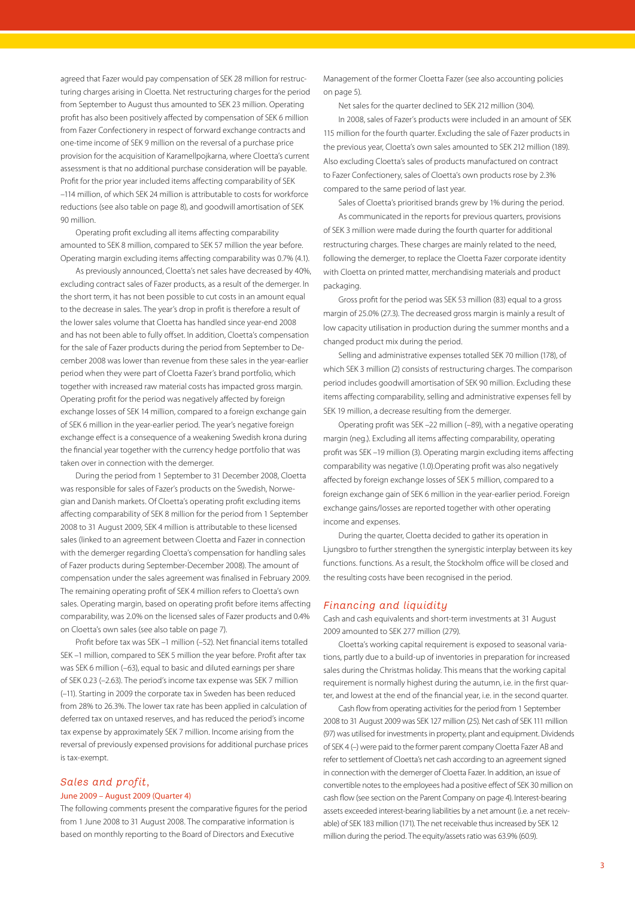agreed that Fazer would pay compensation of SEK 28 million for restructuring charges arising in Cloetta. Net restructuring charges for the period from September to August thus amounted to SEK 23 million. Operating profit has also been positively affected by compensation of SEK 6 million from Fazer Confectionery in respect of forward exchange contracts and one-time income of SEK 9 million on the reversal of a purchase price provision for the acquisition of Karamellpojkarna, where Cloetta's current assessment is that no additional purchase consideration will be payable. Profit for the prior year included items affecting comparability of SEK –114 million, of which SEK 24 million is attributable to costs for workforce reductions (see also table on page 8), and goodwill amortisation of SEK 90 million.

Operating profit excluding all items affecting comparability amounted to SEK 8 million, compared to SEK 57 million the year before. Operating margin excluding items affecting comparability was 0.7% (4.1).

As previously announced, Cloetta's net sales have decreased by 40%, excluding contract sales of Fazer products, as a result of the demerger. In the short term, it has not been possible to cut costs in an amount equal to the decrease in sales. The year's drop in profit is therefore a result of the lower sales volume that Cloetta has handled since year-end 2008 and has not been able to fully offset. In addition, Cloetta's compensation for the sale of Fazer products during the period from September to December 2008 was lower than revenue from these sales in the year-earlier period when they were part of Cloetta Fazer's brand portfolio, which together with increased raw material costs has impacted gross margin. Operating profit for the period was negatively affected by foreign exchange losses of SEK 14 million, compared to a foreign exchange gain of SEK 6 million in the year-earlier period. The year's negative foreign exchange effect is a consequence of a weakening Swedish krona during the financial year together with the currency hedge portfolio that was taken over in connection with the demerger.

During the period from 1 September to 31 December 2008, Cloetta was responsible for sales of Fazer's products on the Swedish, Norwegian and Danish markets. Of Cloetta's operating profit excluding items affecting comparability of SEK 8 million for the period from 1 September 2008 to 31 August 2009, SEK 4 million is attributable to these licensed sales (linked to an agreement between Cloetta and Fazer in connection with the demerger regarding Cloetta's compensation for handling sales of Fazer products during September-December 2008). The amount of compensation under the sales agreement was finalised in February 2009. The remaining operating profit of SEK 4 million refers to Cloetta's own sales. Operating margin, based on operating profit before items affecting comparability, was 2.0% on the licensed sales of Fazer products and 0.4% on Cloetta's own sales (see also table on page 7).

Profit before tax was SEK –1 million (–52). Net financial items totalled SEK –1 million, compared to SEK 5 million the year before. Profit after tax was SEK 6 million (–63), equal to basic and diluted earnings per share of SEK 0.23 (–2.63). The period's income tax expense was SEK 7 million (–11). Starting in 2009 the corporate tax in Sweden has been reduced from 28% to 26.3%. The lower tax rate has been applied in calculation of deferred tax on untaxed reserves, and has reduced the period's income tax expense by approximately SEK 7 million. Income arising from the reversal of previously expensed provisions for additional purchase prices is tax-exempt.

## *Sales and profit,* June 2009 – August 2009 (Quarter 4)

The following comments present the comparative figures for the period from 1 June 2008 to 31 August 2008. The comparative information is based on monthly reporting to the Board of Directors and Executive

Management of the former Cloetta Fazer (see also accounting policies on page 5).

Net sales for the quarter declined to SEK 212 million (304).

In 2008, sales of Fazer's products were included in an amount of SEK 115 million for the fourth quarter. Excluding the sale of Fazer products in the previous year, Cloetta's own sales amounted to SEK 212 million (189). Also excluding Cloetta's sales of products manufactured on contract to Fazer Confectionery, sales of Cloetta's own products rose by 2.3% compared to the same period of last year.

Sales of Cloetta's prioritised brands grew by 1% during the period. As communicated in the reports for previous quarters, provisions of SEK 3 million were made during the fourth quarter for additional restructuring charges. These charges are mainly related to the need, following the demerger, to replace the Cloetta Fazer corporate identity with Cloetta on printed matter, merchandising materials and product packaging.

Gross profit for the period was SEK 53 million (83) equal to a gross margin of 25.0% (27.3). The decreased gross margin is mainly a result of low capacity utilisation in production during the summer months and a changed product mix during the period.

Selling and administrative expenses totalled SEK 70 million (178), of which SEK 3 million (2) consists of restructuring charges. The comparison period includes goodwill amortisation of SEK 90 million. Excluding these items affecting comparability, selling and administrative expenses fell by SEK 19 million, a decrease resulting from the demerger.

Operating profit was SEK –22 million (–89), with a negative operating margin (neg.). Excluding all items affecting comparability, operating profit was SEK –19 million (3). Operating margin excluding items affecting comparability was negative (1.0).Operating profit was also negatively affected by foreign exchange losses of SEK 5 million, compared to a foreign exchange gain of SEK 6 million in the year-earlier period. Foreign exchange gains/losses are reported together with other operating income and expenses.

During the quarter, Cloetta decided to gather its operation in Ljungsbro to further strengthen the synergistic interplay between its key functions. functions. As a result, the Stockholm office will be closed and the resulting costs have been recognised in the period.

## *Financing and liquidity*

Cash and cash equivalents and short-term investments at 31 August 2009 amounted to SEK 277 million (279).

Cloetta's working capital requirement is exposed to seasonal variations, partly due to a build-up of inventories in preparation for increased sales during the Christmas holiday. This means that the working capital requirement is normally highest during the autumn, i.e. in the first quarter, and lowest at the end of the financial year, i.e. in the second quarter.

Cash flow from operating activities for the period from 1 September 2008 to 31 August 2009 was SEK 127 million (25). Net cash of SEK 111 million (97) was utilised for investments in property, plant and equipment. Dividends of SEK 4 (–) were paid to the former parent company Cloetta Fazer AB and refer to settlement of Cloetta's net cash according to an agreement signed in connection with the demerger of Cloetta Fazer. In addition, an issue of convertible notes to the employees had a positive effect of SEK 30 million on cash flow (see section on the Parent Company on page 4). Interest-bearing assets exceeded interest-bearing liabilities by a net amount (i.e. a net receivable) of SEK 183 million (171). The net receivable thus increased by SEK 12 million during the period. The equity/assets ratio was 63.9% (60.9).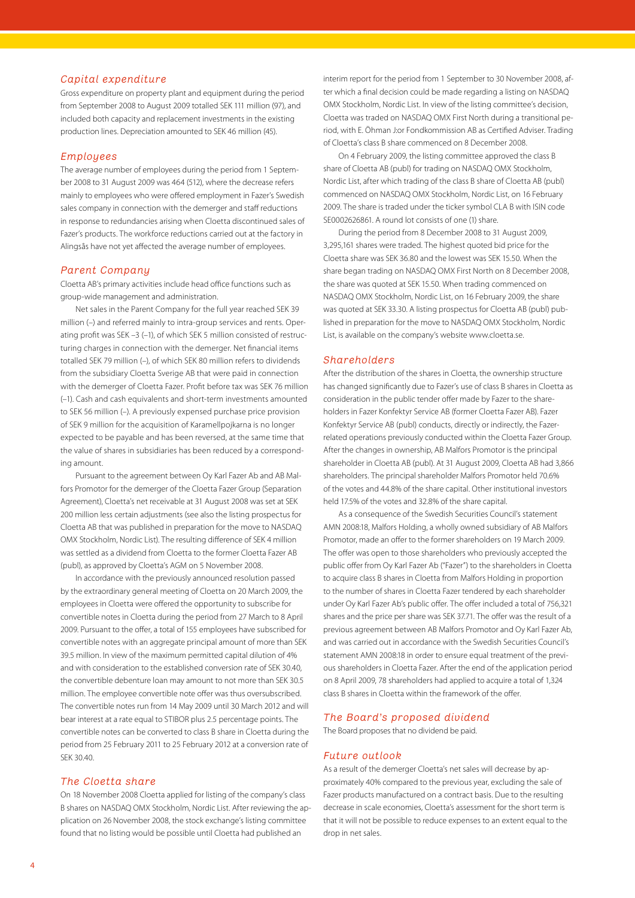## *Capital expenditure*

Gross expenditure on property plant and equipment during the period from September 2008 to August 2009 totalled SEK 111 million (97), and included both capacity and replacement investments in the existing production lines. Depreciation amounted to SEK 46 million (45).

## *Employees*

The average number of employees during the period from 1 September 2008 to 31 August 2009 was 464 (512), where the decrease refers mainly to employees who were offered employment in Fazer's Swedish sales company in connection with the demerger and staff reductions in response to redundancies arising when Cloetta discontinued sales of Fazer's products. The workforce reductions carried out at the factory in Alingsås have not yet affected the average number of employees.

#### *Parent Company*

Cloetta AB's primary activities include head office functions such as group-wide management and administration.

Net sales in the Parent Company for the full year reached SEK 39 million (–) and referred mainly to intra-group services and rents. Operating profit was SEK –3 (–1), of which SEK 5 million consisted of restructuring charges in connection with the demerger. Net financial items totalled SEK 79 million (–), of which SEK 80 million refers to dividends from the subsidiary Cloetta Sverige AB that were paid in connection with the demerger of Cloetta Fazer. Profit before tax was SEK 76 million (–1). Cash and cash equivalents and short-term investments amounted to SEK 56 million (–). A previously expensed purchase price provision of SEK 9 million for the acquisition of Karamellpojkarna is no longer expected to be payable and has been reversed, at the same time that the value of shares in subsidiaries has been reduced by a corresponding amount.

Pursuant to the agreement between Oy Karl Fazer Ab and AB Malfors Promotor for the demerger of the Cloetta Fazer Group (Separation Agreement), Cloetta's net receivable at 31 August 2008 was set at SEK 200 million less certain adjustments (see also the listing prospectus for Cloetta AB that was published in preparation for the move to NASDAQ OMX Stockholm, Nordic List). The resulting difference of SEK 4 million was settled as a dividend from Cloetta to the former Cloetta Fazer AB (publ), as approved by Cloetta's AGM on 5 November 2008.

In accordance with the previously announced resolution passed by the extraordinary general meeting of Cloetta on 20 March 2009, the employees in Cloetta were offered the opportunity to subscribe for convertible notes in Cloetta during the period from 27 March to 8 April 2009. Pursuant to the offer, a total of 155 employees have subscribed for convertible notes with an aggregate principal amount of more than SEK 39.5 million. In view of the maximum permitted capital dilution of 4% and with consideration to the established conversion rate of SEK 30.40, the convertible debenture loan may amount to not more than SEK 30.5 million. The employee convertible note offer was thus oversubscribed. The convertible notes run from 14 May 2009 until 30 March 2012 and will bear interest at a rate equal to STIBOR plus 2.5 percentage points. The convertible notes can be converted to class B share in Cloetta during the period from 25 February 2011 to 25 February 2012 at a conversion rate of SEK 30.40.

### *The Cloetta share*

On 18 November 2008 Cloetta applied for listing of the company's class B shares on NASDAQ OMX Stockholm, Nordic List. After reviewing the application on 26 November 2008, the stock exchange's listing committee found that no listing would be possible until Cloetta had published an

interim report for the period from 1 September to 30 November 2008, after which a final decision could be made regarding a listing on NASDAQ OMX Stockholm, Nordic List. In view of the listing committee's decision, Cloetta was traded on NASDAQ OMX First North during a transitional period, with E. Öhman J:or Fondkommission AB as Certified Adviser. Trading of Cloetta's class B share commenced on 8 December 2008.

On 4 February 2009, the listing committee approved the class B share of Cloetta AB (publ) for trading on NASDAQ OMX Stockholm, Nordic List, after which trading of the class B share of Cloetta AB (publ) commenced on NASDAQ OMX Stockholm, Nordic List, on 16 February 2009. The share is traded under the ticker symbol CLA B with ISIN code SE0002626861. A round lot consists of one (1) share.

During the period from 8 December 2008 to 31 August 2009, 3,295,161 shares were traded. The highest quoted bid price for the Cloetta share was SEK 36.80 and the lowest was SEK 15.50. When the share began trading on NASDAQ OMX First North on 8 December 2008, the share was quoted at SEK 15.50. When trading commenced on NASDAQ OMX Stockholm, Nordic List, on 16 February 2009, the share was quoted at SEK 33.30. A listing prospectus for Cloetta AB (publ) published in preparation for the move to NASDAQ OMX Stockholm, Nordic List, is available on the company's website www.cloetta.se.

#### *Shareholders*

After the distribution of the shares in Cloetta, the ownership structure has changed significantly due to Fazer's use of class B shares in Cloetta as consideration in the public tender offer made by Fazer to the shareholders in Fazer Konfektyr Service AB (former Cloetta Fazer AB). Fazer Konfektyr Service AB (publ) conducts, directly or indirectly, the Fazerrelated operations previously conducted within the Cloetta Fazer Group. After the changes in ownership, AB Malfors Promotor is the principal shareholder in Cloetta AB (publ). At 31 August 2009, Cloetta AB had 3,866 shareholders. The principal shareholder Malfors Promotor held 70.6% of the votes and 44.8% of the share capital. Other institutional investors held 17.5% of the votes and 32.8% of the share capital.

As a consequence of the Swedish Securities Council's statement AMN 2008:18, Malfors Holding, a wholly owned subsidiary of AB Malfors Promotor, made an offer to the former shareholders on 19 March 2009. The offer was open to those shareholders who previously accepted the public offer from Oy Karl Fazer Ab ("Fazer") to the shareholders in Cloetta to acquire class B shares in Cloetta from Malfors Holding in proportion to the number of shares in Cloetta Fazer tendered by each shareholder under Oy Karl Fazer Ab's public offer. The offer included a total of 756,321 shares and the price per share was SEK 37.71. The offer was the result of a previous agreement between AB Malfors Promotor and Oy Karl Fazer Ab, and was carried out in accordance with the Swedish Securities Council's statement AMN 2008:18 in order to ensure equal treatment of the previous shareholders in Cloetta Fazer. After the end of the application period on 8 April 2009, 78 shareholders had applied to acquire a total of 1,324 class B shares in Cloetta within the framework of the offer.

### *The Board's proposed dividend*

The Board proposes that no dividend be paid.

### *Future outlook*

As a result of the demerger Cloetta's net sales will decrease by approximately 40% compared to the previous year, excluding the sale of Fazer products manufactured on a contract basis. Due to the resulting decrease in scale economies, Cloetta's assessment for the short term is that it will not be possible to reduce expenses to an extent equal to the drop in net sales.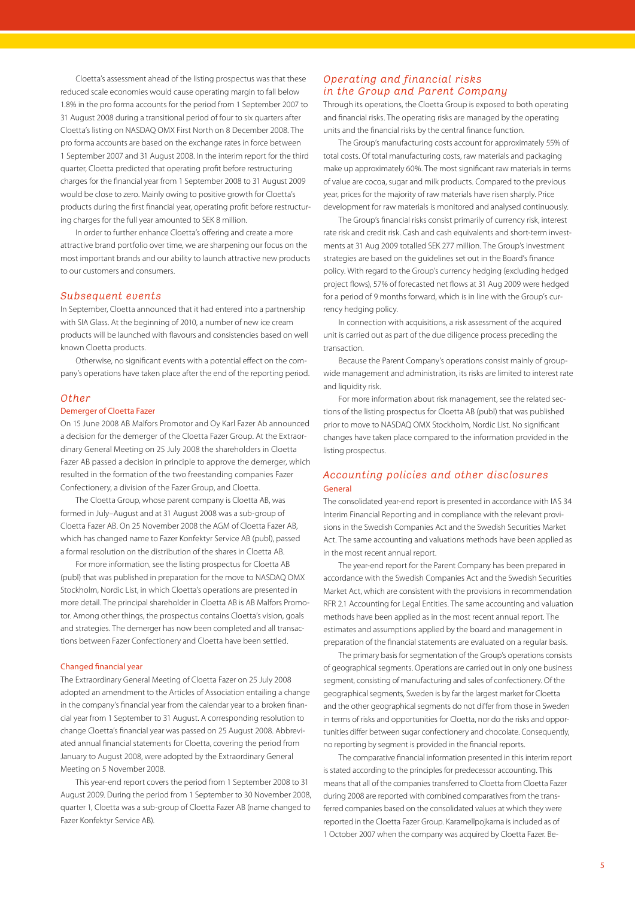Cloetta's assessment ahead of the listing prospectus was that these reduced scale economies would cause operating margin to fall below 1.8% in the pro forma accounts for the period from 1 September 2007 to 31 August 2008 during a transitional period of four to six quarters after Cloetta's listing on NASDAQ OMX First North on 8 December 2008. The pro forma accounts are based on the exchange rates in force between 1 September 2007 and 31 August 2008. In the interim report for the third quarter, Cloetta predicted that operating profit before restructuring charges for the financial year from 1 September 2008 to 31 August 2009 would be close to zero. Mainly owing to positive growth for Cloetta's products during the first financial year, operating profit before restructuring charges for the full year amounted to SEK 8 million.

In order to further enhance Cloetta's offering and create a more attractive brand portfolio over time, we are sharpening our focus on the most important brands and our ability to launch attractive new products to our customers and consumers.

### *Subsequent events*

In September, Cloetta announced that it had entered into a partnership with SIA Glass. At the beginning of 2010, a number of new ice cream products will be launched with flavours and consistencies based on well known Cloetta products.

Otherwise, no significant events with a potential effect on the company's operations have taken place after the end of the reporting period.

#### *Other*

### Demerger of Cloetta Fazer

On 15 June 2008 AB Malfors Promotor and Oy Karl Fazer Ab announced a decision for the demerger of the Cloetta Fazer Group. At the Extraordinary General Meeting on 25 July 2008 the shareholders in Cloetta Fazer AB passed a decision in principle to approve the demerger, which resulted in the formation of the two freestanding companies Fazer Confectionery, a division of the Fazer Group, and Cloetta.

The Cloetta Group, whose parent company is Cloetta AB, was formed in July–August and at 31 August 2008 was a sub-group of Cloetta Fazer AB. On 25 November 2008 the AGM of Cloetta Fazer AB, which has changed name to Fazer Konfektyr Service AB (publ), passed a formal resolution on the distribution of the shares in Cloetta AB.

For more information, see the listing prospectus for Cloetta AB (publ) that was published in preparation for the move to NASDAQ OMX Stockholm, Nordic List, in which Cloetta's operations are presented in more detail. The principal shareholder in Cloetta AB is AB Malfors Promotor. Among other things, the prospectus contains Cloetta's vision, goals and strategies. The demerger has now been completed and all transactions between Fazer Confectionery and Cloetta have been settled.

#### Changed financial year

The Extraordinary General Meeting of Cloetta Fazer on 25 July 2008 adopted an amendment to the Articles of Association entailing a change in the company's financial year from the calendar year to a broken financial year from 1 September to 31 August. A corresponding resolution to change Cloetta's financial year was passed on 25 August 2008. Abbreviated annual financial statements for Cloetta, covering the period from January to August 2008, were adopted by the Extraordinary General Meeting on 5 November 2008.

This year-end report covers the period from 1 September 2008 to 31 August 2009. During the period from 1 September to 30 November 2008, quarter 1, Cloetta was a sub-group of Cloetta Fazer AB (name changed to Fazer Konfektyr Service AB).

## *Operating and financial risks in the Group and Parent Company*

Through its operations, the Cloetta Group is exposed to both operating and financial risks. The operating risks are managed by the operating units and the financial risks by the central finance function.

The Group's manufacturing costs account for approximately 55% of total costs. Of total manufacturing costs, raw materials and packaging make up approximately 60%. The most significant raw materials in terms of value are cocoa, sugar and milk products. Compared to the previous year, prices for the majority of raw materials have risen sharply. Price development for raw materials is monitored and analysed continuously.

The Group's financial risks consist primarily of currency risk, interest rate risk and credit risk. Cash and cash equivalents and short-term investments at 31 Aug 2009 totalled SEK 277 million. The Group's investment strategies are based on the guidelines set out in the Board's finance policy. With regard to the Group's currency hedging (excluding hedged project flows), 57% of forecasted net flows at 31 Aug 2009 were hedged for a period of 9 months forward, which is in line with the Group's currency hedging policy.

In connection with acquisitions, a risk assessment of the acquired unit is carried out as part of the due diligence process preceding the transaction.

Because the Parent Company's operations consist mainly of groupwide management and administration, its risks are limited to interest rate and liquidity risk.

For more information about risk management, see the related sections of the listing prospectus for Cloetta AB (publ) that was published prior to move to NASDAQ OMX Stockholm, Nordic List. No significant changes have taken place compared to the information provided in the listing prospectus.

## *Accounting policies and other disclosures* General

The consolidated year-end report is presented in accordance with IAS 34 Interim Financial Reporting and in compliance with the relevant provisions in the Swedish Companies Act and the Swedish Securities Market Act. The same accounting and valuations methods have been applied as in the most recent annual report.

The year-end report for the Parent Company has been prepared in accordance with the Swedish Companies Act and the Swedish Securities Market Act, which are consistent with the provisions in recommendation RFR 2.1 Accounting for Legal Entities. The same accounting and valuation methods have been applied as in the most recent annual report. The estimates and assumptions applied by the board and management in preparation of the financial statements are evaluated on a regular basis.

The primary basis for segmentation of the Group's operations consists of geographical segments. Operations are carried out in only one business segment, consisting of manufacturing and sales of confectionery. Of the geographical segments, Sweden is by far the largest market for Cloetta and the other geographical segments do not differ from those in Sweden in terms of risks and opportunities for Cloetta, nor do the risks and opportunities differ between sugar confectionery and chocolate. Consequently, no reporting by segment is provided in the financial reports.

The comparative financial information presented in this interim report is stated according to the principles for predecessor accounting. This means that all of the companies transferred to Cloetta from Cloetta Fazer during 2008 are reported with combined comparatives from the transferred companies based on the consolidated values at which they were reported in the Cloetta Fazer Group. Karamellpojkarna is included as of 1 October 2007 when the company was acquired by Cloetta Fazer. Be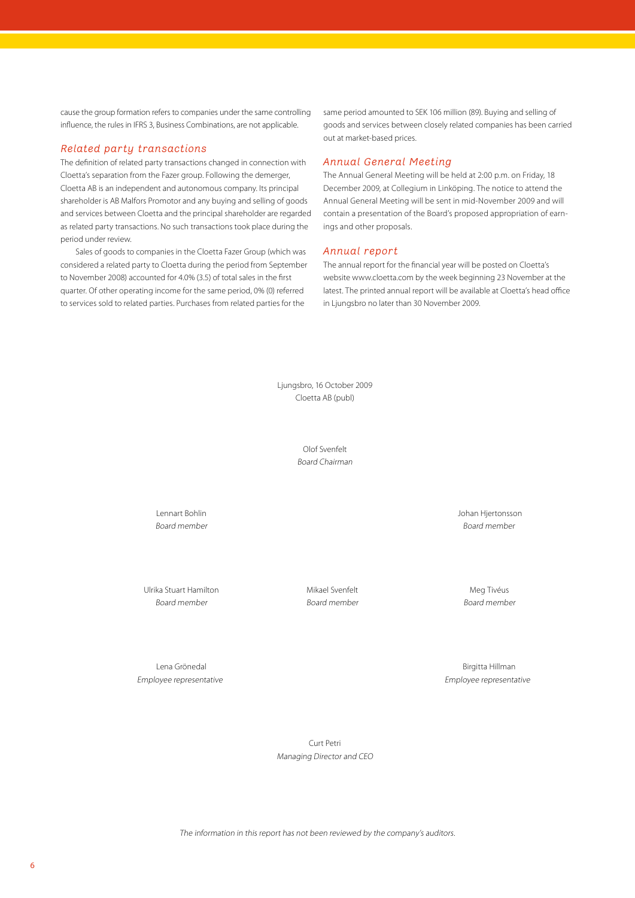cause the group formation refers to companies under the same controlling influence, the rules in IFRS 3, Business Combinations, are not applicable.

## *Related party transactions*

The definition of related party transactions changed in connection with Cloetta's separation from the Fazer group. Following the demerger, Cloetta AB is an independent and autonomous company. Its principal shareholder is AB Malfors Promotor and any buying and selling of goods and services between Cloetta and the principal shareholder are regarded as related party transactions. No such transactions took place during the period under review.

Sales of goods to companies in the Cloetta Fazer Group (which was considered a related party to Cloetta during the period from September to November 2008) accounted for 4.0% (3.5) of total sales in the first quarter. Of other operating income for the same period, 0% (0) referred to services sold to related parties. Purchases from related parties for the

same period amounted to SEK 106 million (89). Buying and selling of goods and services between closely related companies has been carried out at market-based prices.

## *Annual General Meeting*

The Annual General Meeting will be held at 2:00 p.m. on Friday, 18 December 2009, at Collegium in Linköping. The notice to attend the Annual General Meeting will be sent in mid-November 2009 and will contain a presentation of the Board's proposed appropriation of earnings and other proposals.

## *Annual report*

The annual report for the financial year will be posted on Cloetta's website www.cloetta.com by the week beginning 23 November at the latest. The printed annual report will be available at Cloetta's head office in Ljungsbro no later than 30 November 2009.

Ljungsbro, 16 October 2009 Cloetta AB (publ)

> Olof Svenfelt Board Chairman

Lennart Bohlin Johan Hjertonsson Board member Board member

Ulrika Stuart Hamilton **Mikael Svenfelt** Meg Tivéus Meg Tivéus Board member Board member Board member

Lena Grönedal Birgitta Hillman

Employee representative Employee representative

Curt Petri Managing Director and CEO

The information in this report has not been reviewed by the company's auditors.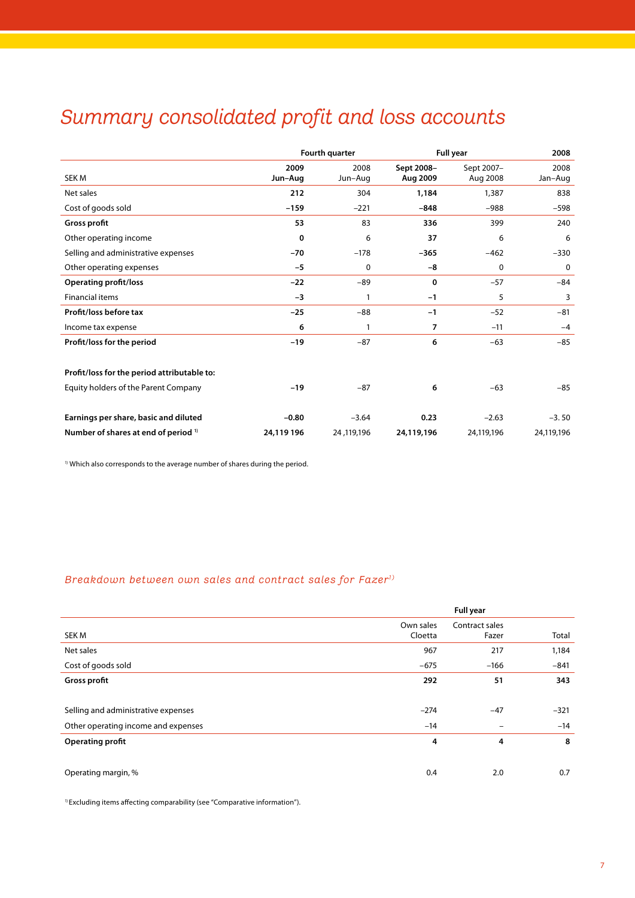# *Summary consolidated profit and loss accounts*

|                                             |                 | Fourth quarter  |                        | <b>Full year</b>       | 2008            |
|---------------------------------------------|-----------------|-----------------|------------------------|------------------------|-----------------|
| <b>SEK M</b>                                | 2009<br>Jun-Aug | 2008<br>Jun-Aug | Sept 2008-<br>Aug 2009 | Sept 2007-<br>Aug 2008 | 2008<br>Jan-Aug |
| Net sales                                   | 212             | 304             | 1,184                  | 1,387                  | 838             |
| Cost of goods sold                          | $-159$          | $-221$          | $-848$                 | $-988$                 | $-598$          |
| Gross profit                                | 53              | 83              | 336                    | 399                    | 240             |
| Other operating income                      | 0               | 6               | 37                     | 6                      | 6               |
| Selling and administrative expenses         | $-70$           | $-178$          | $-365$                 | $-462$                 | $-330$          |
| Other operating expenses                    | $-5$            | 0               | -8                     | 0                      | 0               |
| <b>Operating profit/loss</b>                | $-22$           | $-89$           | 0                      | $-57$                  | $-84$           |
| <b>Financial items</b>                      | $-3$            | 1               | $-1$                   | 5                      | 3               |
| Profit/loss before tax                      | $-25$           | $-88$           | $-1$                   | $-52$                  | $-81$           |
| Income tax expense                          | 6               | 1               | 7                      | $-11$                  | $-4$            |
| Profit/loss for the period                  | $-19$           | $-87$           | 6                      | $-63$                  | $-85$           |
| Profit/loss for the period attributable to: |                 |                 |                        |                        |                 |
| Equity holders of the Parent Company        | $-19$           | $-87$           | 6                      | $-63$                  | $-85$           |
| Earnings per share, basic and diluted       | $-0.80$         | $-3.64$         | 0.23                   | $-2.63$                | $-3.50$         |
| Number of shares at end of period 1)        | 24,119 196      | 24, 119, 196    | 24,119,196             | 24,119,196             | 24,119,196      |

<sup>1)</sup> Which also corresponds to the average number of shares during the period.

## *Breakdown between own sales and contract sales for Fazer1)*

|                                     | <b>Full year</b>     |                          |        |  |  |  |
|-------------------------------------|----------------------|--------------------------|--------|--|--|--|
| <b>SEK M</b>                        | Own sales<br>Cloetta | Contract sales<br>Fazer  | Total  |  |  |  |
| Net sales                           | 967                  | 217                      | 1,184  |  |  |  |
| Cost of goods sold                  | $-675$               | $-166$                   | $-841$ |  |  |  |
| Gross profit                        | 292                  | 51                       | 343    |  |  |  |
|                                     |                      |                          |        |  |  |  |
| Selling and administrative expenses | $-274$               | $-47$                    | $-321$ |  |  |  |
| Other operating income and expenses | $-14$                | $\overline{\phantom{m}}$ | $-14$  |  |  |  |
| Operating profit                    | 4                    | 4                        | 8      |  |  |  |
|                                     |                      |                          |        |  |  |  |
| Operating margin, %                 | 0.4                  | 2.0                      | 0.7    |  |  |  |

<sup>1)</sup> Excluding items affecting comparability (see "Comparative information").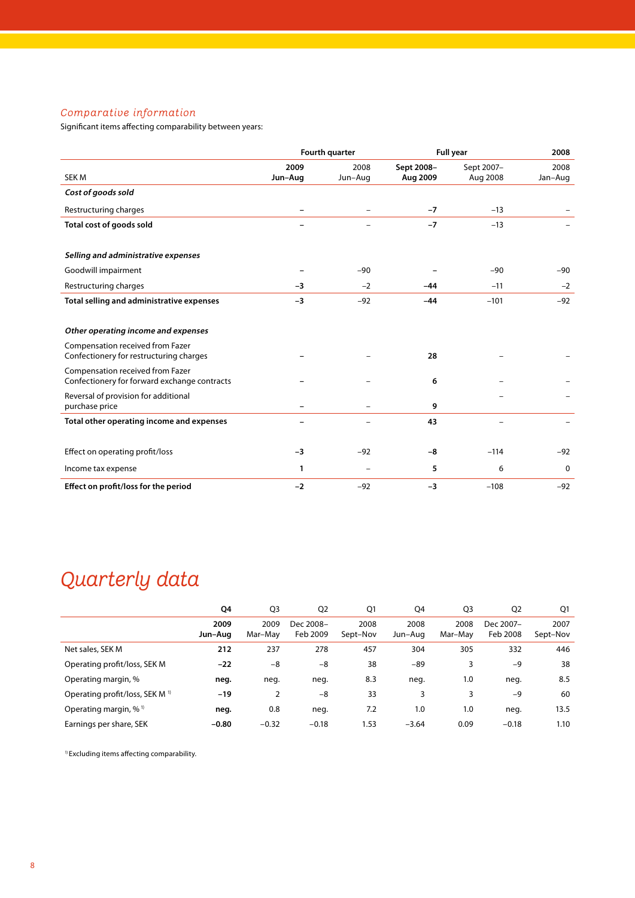## *Comparative information*

Significant items affecting comparability between years:

|                                                                                  |                          | Fourth quarter  |                        | <b>Full year</b>       | 2008            |
|----------------------------------------------------------------------------------|--------------------------|-----------------|------------------------|------------------------|-----------------|
| SEK M                                                                            | 2009<br>Jun-Aug          | 2008<br>Jun-Aug | Sept 2008-<br>Aug 2009 | Sept 2007-<br>Aug 2008 | 2008<br>Jan-Aug |
| Cost of goods sold                                                               |                          |                 |                        |                        |                 |
| Restructuring charges                                                            |                          |                 | $-7$                   | $-13$                  |                 |
| Total cost of goods sold                                                         |                          |                 | $-7$                   | $-13$                  |                 |
| Selling and administrative expenses                                              |                          |                 |                        |                        |                 |
| Goodwill impairment                                                              |                          | $-90$           |                        | $-90$                  | $-90$           |
| Restructuring charges                                                            | -3                       | $-2$            | -44                    | $-11$                  | $-2$            |
| Total selling and administrative expenses                                        | $-3$                     | $-92$           | $-44$                  | $-101$                 | $-92$           |
| Other operating income and expenses                                              |                          |                 |                        |                        |                 |
| Compensation received from Fazer<br>Confectionery for restructuring charges      |                          |                 | 28                     |                        |                 |
| Compensation received from Fazer<br>Confectionery for forward exchange contracts |                          |                 | 6                      |                        |                 |
| Reversal of provision for additional<br>purchase price                           | $\overline{\phantom{0}}$ |                 | 9                      |                        |                 |
| Total other operating income and expenses                                        |                          |                 | 43                     |                        |                 |
| Effect on operating profit/loss                                                  | $-3$                     | $-92$           | -8                     | $-114$                 | $-92$           |
| Income tax expense                                                               | 1                        |                 | 5                      | 6                      | 0               |
| Effect on profit/loss for the period                                             | $-2$                     | $-92$           | $-3$                   | $-108$                 | $-92$           |

# *Quarterly data*

|                                            | Q4              | Q <sub>3</sub>  | Q <sub>2</sub>        | Q1               | Q4              | Q <sub>3</sub>  | Q <sub>2</sub>        | Q1               |
|--------------------------------------------|-----------------|-----------------|-----------------------|------------------|-----------------|-----------------|-----------------------|------------------|
|                                            | 2009<br>Jun-Aug | 2009<br>Mar-May | Dec 2008-<br>Feb 2009 | 2008<br>Sept-Nov | 2008<br>Jun-Aug | 2008<br>Mar-May | Dec 2007-<br>Feb 2008 | 2007<br>Sept-Nov |
| Net sales, SEK M                           | 212             | 237             | 278                   | 457              | 304             | 305             | 332                   | 446              |
| Operating profit/loss, SEK M               | $-22$           | -8              | -8                    | 38               | $-89$           | 3               | $-9$                  | 38               |
| Operating margin, %                        | neg.            | neg.            | neg.                  | 8.3              | neg.            | 1.0             | neg.                  | 8.5              |
| Operating profit/loss, SEK M <sup>1)</sup> | $-19$           | 2               | $-8$                  | 33               | 3               | 3               | $-9$                  | 60               |
| Operating margin, $%$ <sup>1)</sup>        | neg.            | 0.8             | neg.                  | 7.2              | 1.0             | 1.0             | neg.                  | 13.5             |
| Earnings per share, SEK                    | $-0.80$         | $-0.32$         | $-0.18$               | 1.53             | $-3.64$         | 0.09            | $-0.18$               | 1.10             |

1) Excluding items affecting comparability.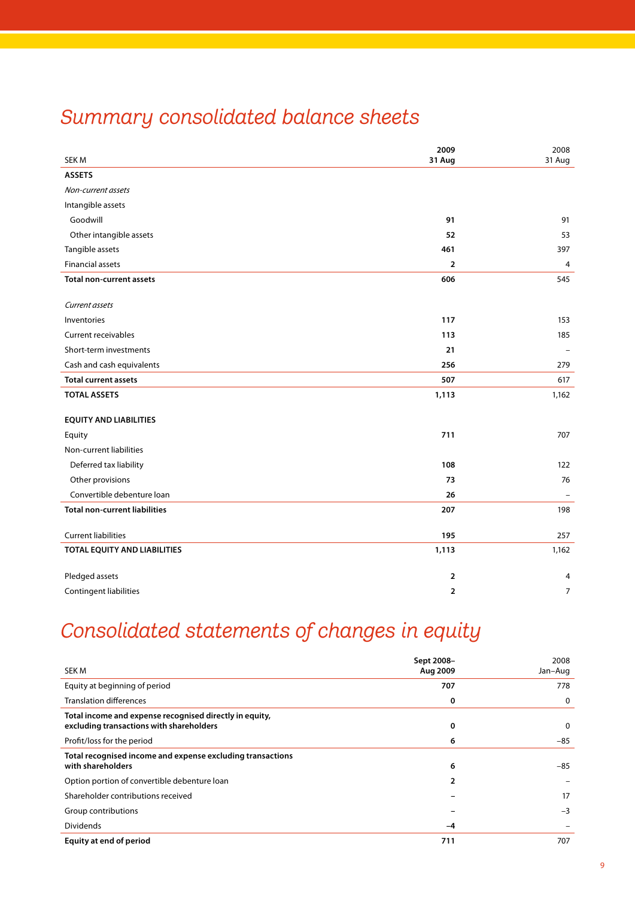# *Summary consolidated balance sheets*

|                                      | 2009           | 2008                     |
|--------------------------------------|----------------|--------------------------|
| <b>SEKM</b>                          | 31 Aug         | 31 Aug                   |
| <b>ASSETS</b>                        |                |                          |
| Non-current assets                   |                |                          |
| Intangible assets                    |                |                          |
| Goodwill                             | 91             | 91                       |
| Other intangible assets              | 52             | 53                       |
| Tangible assets                      | 461            | 397                      |
| <b>Financial assets</b>              | $\overline{2}$ | $\overline{4}$           |
| <b>Total non-current assets</b>      | 606            | 545                      |
| Current assets                       |                |                          |
| Inventories                          | 117            | 153                      |
| <b>Current receivables</b>           | 113            | 185                      |
| Short-term investments               | 21             | $\overline{\phantom{m}}$ |
| Cash and cash equivalents            | 256            | 279                      |
| <b>Total current assets</b>          | 507            | 617                      |
| <b>TOTAL ASSETS</b>                  | 1,113          | 1,162                    |
|                                      |                |                          |
| <b>EQUITY AND LIABILITIES</b>        |                |                          |
| Equity                               | 711            | 707                      |
| Non-current liabilities              |                |                          |
| Deferred tax liability               | 108            | 122                      |
| Other provisions                     | 73             | 76                       |
| Convertible debenture loan           | 26             |                          |
| <b>Total non-current liabilities</b> | 207            | 198                      |
| <b>Current liabilities</b>           | 195            | 257                      |
| TOTAL EQUITY AND LIABILITIES         | 1,113          | 1,162                    |
|                                      |                |                          |
| Pledged assets                       | $\overline{2}$ | 4                        |
| Contingent liabilities               | $\overline{2}$ | $\overline{7}$           |

# *Consolidated statements of changes in equity*

| SEK M                                                                                               | Sept 2008-<br>Aug 2009 | 2008<br>Jan-Aug |
|-----------------------------------------------------------------------------------------------------|------------------------|-----------------|
| Equity at beginning of period                                                                       | 707                    | 778             |
| <b>Translation differences</b>                                                                      | 0                      | 0               |
| Total income and expense recognised directly in equity,<br>excluding transactions with shareholders | 0                      | 0               |
| Profit/loss for the period                                                                          | 6                      | $-85$           |
| Total recognised income and expense excluding transactions<br>with shareholders                     | 6                      | $-85$           |
| Option portion of convertible debenture loan                                                        | $\overline{2}$         |                 |
| Shareholder contributions received                                                                  |                        | 17              |
| Group contributions                                                                                 |                        | $-3$            |
| Dividends                                                                                           | -4                     |                 |
| Equity at end of period                                                                             | 711                    | 707             |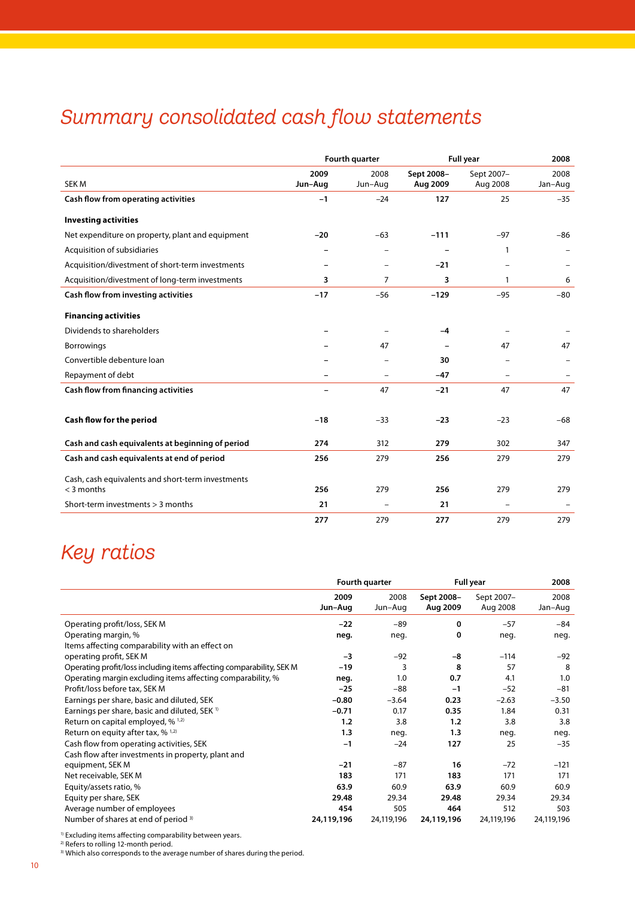# *Summary consolidated cash flow statements*

|                                                                   |                          | Fourth quarter |            | <b>Full year</b>         | 2008    |
|-------------------------------------------------------------------|--------------------------|----------------|------------|--------------------------|---------|
|                                                                   | 2009                     | 2008           | Sept 2008- | Sept 2007-               | 2008    |
| SEK <sub>M</sub>                                                  | Jun-Aug                  | Jun-Aug        | Aug 2009   | Aug 2008                 | Jan-Aug |
| Cash flow from operating activities                               | $-1$                     | $-24$          | 127        | 25                       | $-35$   |
| <b>Investing activities</b>                                       |                          |                |            |                          |         |
| Net expenditure on property, plant and equipment                  | $-20$                    | $-63$          | $-111$     | $-97$                    | $-86$   |
| Acquisition of subsidiaries                                       |                          |                |            | 1                        |         |
| Acquisition/divestment of short-term investments                  | $\overline{\phantom{0}}$ | $\equiv$       | $-21$      |                          |         |
| Acquisition/divestment of long-term investments                   | 3                        | 7              | 3          | 1                        | 6       |
| Cash flow from investing activities                               | $-17$                    | $-56$          | $-129$     | $-95$                    | $-80$   |
| <b>Financing activities</b>                                       |                          |                |            |                          |         |
| Dividends to shareholders                                         |                          |                | $-4$       |                          |         |
| <b>Borrowings</b>                                                 |                          | 47             |            | 47                       | 47      |
| Convertible debenture loan                                        |                          |                | 30         |                          |         |
| Repayment of debt                                                 |                          |                | $-47$      |                          |         |
| Cash flow from financing activities                               | —                        | 47             | $-21$      | 47                       | 47      |
| Cash flow for the period                                          | $-18$                    | $-33$          | $-23$      | $-23$                    | $-68$   |
| Cash and cash equivalents at beginning of period                  | 274                      | 312            | 279        | 302                      | 347     |
| Cash and cash equivalents at end of period                        | 256                      | 279            | 256        | 279                      | 279     |
| Cash, cash equivalents and short-term investments<br>$<$ 3 months | 256                      | 279            | 256        | 279                      | 279     |
| Short-term investments $>$ 3 months                               | 21                       | $\equiv$       | 21         | $\overline{\phantom{0}}$ |         |
|                                                                   | 277                      | 279            | 277        | 279                      | 279     |
|                                                                   |                          |                |            |                          |         |

## *Key ratios*

|                                                                      |                 | Fourth quarter  | <b>Full year</b>       |                        | 2008            |
|----------------------------------------------------------------------|-----------------|-----------------|------------------------|------------------------|-----------------|
|                                                                      | 2009<br>Jun-Aug | 2008<br>Jun-Aug | Sept 2008-<br>Aug 2009 | Sept 2007-<br>Aug 2008 | 2008<br>Jan-Aug |
| Operating profit/loss, SEK M                                         | $-22$           | $-89$           | 0                      | $-57$                  | $-84$           |
| Operating margin, %                                                  | neg.            | neg.            | 0                      | neg.                   | neg.            |
| Items affecting comparability with an effect on                      |                 |                 |                        |                        |                 |
| operating profit, SEK M                                              | $-3$            | $-92$           | -8                     | $-114$                 | $-92$           |
| Operating profit/loss including items affecting comparability, SEK M | $-19$           | 3               | 8                      | 57                     | 8               |
| Operating margin excluding items affecting comparability, %          | neg.            | 1.0             | 0.7                    | 4.1                    | 1.0             |
| Profit/loss before tax, SEK M                                        | $-25$           | $-88$           | $-1$                   | $-52$                  | $-81$           |
| Earnings per share, basic and diluted, SEK                           | $-0.80$         | $-3.64$         | 0.23                   | $-2.63$                | $-3.50$         |
| Earnings per share, basic and diluted, SEK <sup>1)</sup>             | $-0.71$         | 0.17            | 0.35                   | 1.84                   | 0.31            |
| Return on capital employed, % 1,2)                                   | 1.2             | 3.8             | 1.2                    | 3.8                    | 3.8             |
| Return on equity after tax, $\%$ <sup>1,2)</sup>                     | 1.3             | neg.            | 1.3                    | neg.                   | neg.            |
| Cash flow from operating activities, SEK                             | $-1$            | $-24$           | 127                    | 25                     | $-35$           |
| Cash flow after investments in property, plant and                   |                 |                 |                        |                        |                 |
| equipment, SEK M                                                     | $-21$           | $-87$           | 16                     | $-72$                  | $-121$          |
| Net receivable, SEK M                                                | 183             | 171             | 183                    | 171                    | 171             |
| Equity/assets ratio, %                                               | 63.9            | 60.9            | 63.9                   | 60.9                   | 60.9            |
| Equity per share, SEK                                                | 29.48           | 29.34           | 29.48                  | 29.34                  | 29.34           |
| Average number of employees                                          | 454             | 505             | 464                    | 512                    | 503             |
| Number of shares at end of period <sup>3)</sup>                      | 24,119,196      | 24,119,196      | 24,119,196             | 24,119,196             | 24,119,196      |

<sup>1)</sup> Excluding items affecting comparability between years.

2) Refers to rolling 12-month period.

<sup>3)</sup> Which also corresponds to the average number of shares during the period.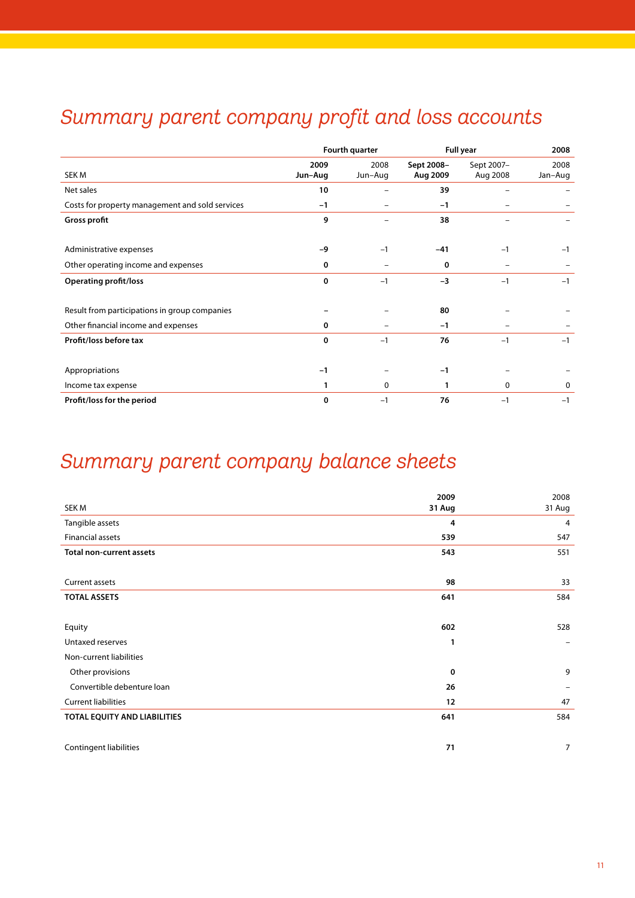# *Summary parent company profit and loss accounts*

|                                                 |                 | Fourth quarter           |                        | Full year              | 2008            |
|-------------------------------------------------|-----------------|--------------------------|------------------------|------------------------|-----------------|
| SEK M                                           | 2009<br>Jun-Aug | 2008<br>Jun-Aug          | Sept 2008-<br>Aug 2009 | Sept 2007-<br>Aug 2008 | 2008<br>Jan-Aug |
| Net sales                                       | 10              | $\overline{\phantom{0}}$ | 39                     |                        |                 |
| Costs for property management and sold services | $-1$            |                          | $-1$                   |                        |                 |
| <b>Gross profit</b>                             | 9               |                          | 38                     |                        |                 |
| Administrative expenses                         | $-9$            | $-1$                     | $-41$                  | $-1$                   | $-1$            |
| Other operating income and expenses             | 0               |                          | 0                      |                        |                 |
| <b>Operating profit/loss</b>                    | $\bf{0}$        | $-1$                     | $-3$                   | $-1$                   | $-1$            |
| Result from participations in group companies   |                 |                          | 80                     |                        |                 |
| Other financial income and expenses             | 0               |                          | $-1$                   |                        |                 |
| Profit/loss before tax                          | 0               | $-1$                     | 76                     | $-1$                   | $-1$            |
| Appropriations                                  | $-1$            |                          | $-1$                   |                        |                 |
| Income tax expense                              | 1               | $\Omega$                 |                        | $\mathbf{0}$           | 0               |
| Profit/loss for the period                      | 0               | $-1$                     | 76                     | $-1$                   | $-1$            |

# *Summary parent company balance sheets*

|                                 | 2009        | 2008           |
|---------------------------------|-------------|----------------|
| SEK M                           | 31 Aug      | 31 Aug         |
| Tangible assets                 | 4           | 4              |
| Financial assets                | 539         | 547            |
| <b>Total non-current assets</b> | 543         | 551            |
|                                 |             |                |
| Current assets                  | 98          | 33             |
| <b>TOTAL ASSETS</b>             | 641         | 584            |
|                                 |             |                |
| Equity                          | 602         | 528            |
| Untaxed reserves                | 1           |                |
| Non-current liabilities         |             |                |
| Other provisions                | $\mathbf 0$ | 9              |
| Convertible debenture loan      | 26          | -              |
| <b>Current liabilities</b>      | 12          | 47             |
| TOTAL EQUITY AND LIABILITIES    | 641         | 584            |
|                                 |             |                |
| Contingent liabilities          | 71          | $\overline{7}$ |